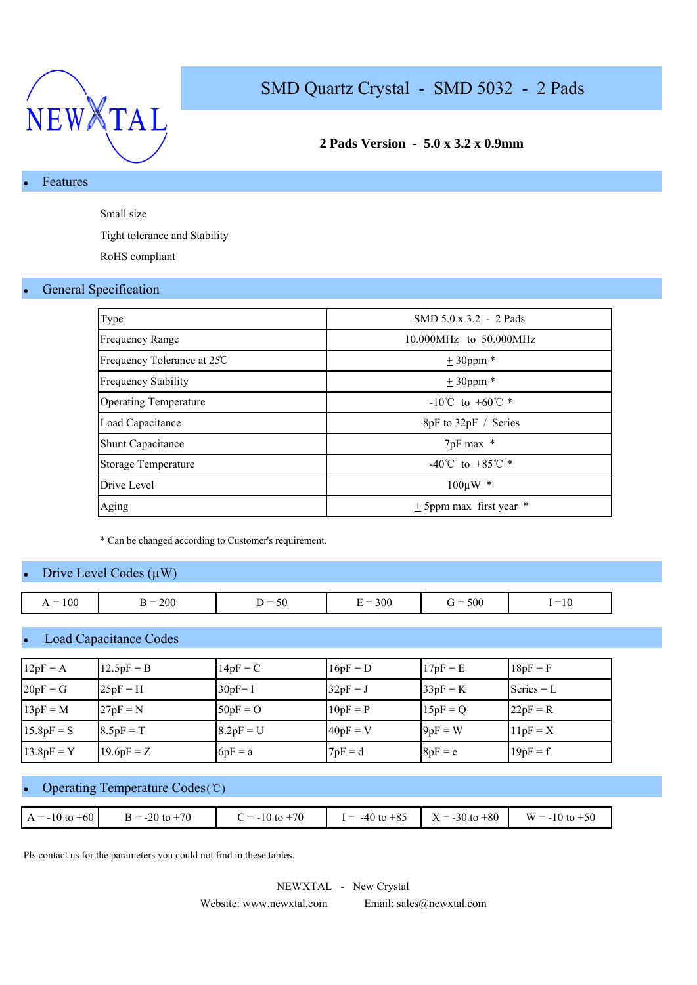

### **2 Pads Version - 5.0 x 3.2 x 0.9mm**

### **Features**

Small size

Tight tolerance and Stability

RoHS compliant

#### **General Specification**

| Type                         | SMD $5.0 \times 3.2 - 2$ Pads      |
|------------------------------|------------------------------------|
| <b>Frequency Range</b>       | 10.000MHz to 50.000MHz             |
| Frequency Tolerance at 25C   | $± 30$ ppm $*$                     |
| <b>Frequency Stability</b>   | $\pm$ 30ppm $*$                    |
| <b>Operating Temperature</b> | $-10^{\circ}$ C to $+60^{\circ}$ * |
| Load Capacitance             | 8pF to 32pF / Series               |
| <b>Shunt Capacitance</b>     | 7pF max *                          |
| <b>Storage Temperature</b>   | -40°C to +85°C $*$                 |
| Drive Level                  | $100 \mu W$ *                      |
| Aging                        | $\pm$ 5ppm max first year $*$      |

\* Can be changed according to Customer's requirement.

#### Drive Level Codes  $(\mu W)$

| 100<br>_<br>$\overline{1}$ | 200<br>-<br>÷ | $\sim$ $\sim$<br>. .<br>. –<br><b>JU</b><br>- | $= 300$<br>- | 500<br>$\dot{r} =$ | $\sim$<br>$1 = 10$ |
|----------------------------|---------------|-----------------------------------------------|--------------|--------------------|--------------------|

#### Load Capacitance Codes

| $12pF = A$   | $12.5pF = B$ | $14pF = C$  | $16pF = D$ | $17pF = E$ | $18pF = F$   |
|--------------|--------------|-------------|------------|------------|--------------|
| $20pF = G$   | $25pF = H$   | $30pF = I$  | $32pF = J$ | $33pF = K$ | Series $= L$ |
| $13pF = M$   | $27pF = N$   | $50pF = O$  | $10pF = P$ | $15pF = Q$ | $22pF = R$   |
| $15.8pF = S$ | $8.5pF = T$  | $8.2pF = U$ | $40pF = V$ | $9pF = W$  | $11pF = X$   |
| $13.8pF = Y$ | $19.6pF = Z$ | $6pF = a$   | $7pF = d$  | $8pF = e$  | $19pF = f$   |

### Operating Temperature Codes (℃)

| $C = -10$ to $+70$<br>$I = -40 \text{ to } +85$ $X = -30 \text{ to } +80$ $W = -10 \text{ to } +50$<br>$B = -20$ to $+70$<br>$A = -10$ to $+60$ |  |  |  |
|-------------------------------------------------------------------------------------------------------------------------------------------------|--|--|--|
|                                                                                                                                                 |  |  |  |

Pls contact us for the parameters you could not find in these tables.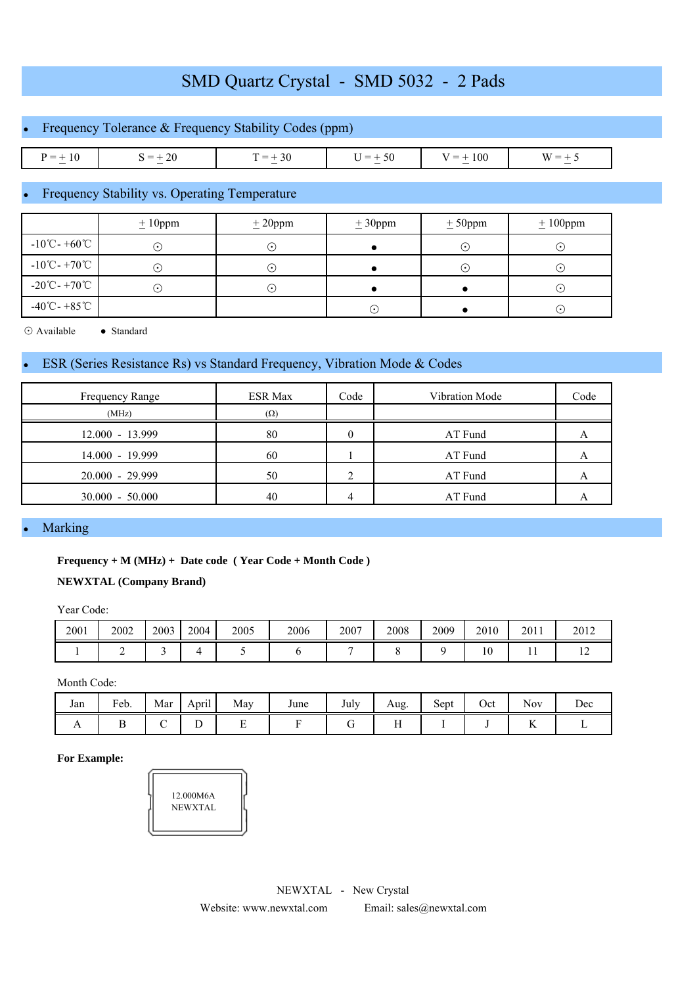|              | • Frequency Tolerance $&$ Frequency Stability Codes (ppm) |           |           |             |          |  |  |  |  |  |  |
|--------------|-----------------------------------------------------------|-----------|-----------|-------------|----------|--|--|--|--|--|--|
|              |                                                           |           |           |             |          |  |  |  |  |  |  |
| $P = \pm 10$ | $S = +20$                                                 | $T = +30$ | $U = +50$ | $V = + 100$ | $W = +5$ |  |  |  |  |  |  |

## Frequency Stability vs. Operating Temperature

|                                             | $± 10$ ppm  | ± 20 ppm    | ± 30 ppm  | $± 50$ ppm             | $± 100$ ppm |
|---------------------------------------------|-------------|-------------|-----------|------------------------|-------------|
| $-10^{\circ}$ C - $+60^{\circ}$ C           | ( • )       | . .         |           | $(\boldsymbol{\cdot})$ | (٠          |
| $-10^{\circ}$ C - +70 $^{\circ}$ C          | $( \cdot )$ | $( \cdot )$ |           | $\odot$                | $(\bullet)$ |
| $-20^{\circ}\text{C} - +70^{\circ}\text{C}$ | ( • )       | . ا         |           |                        | $(\cdot)$   |
| $-40^{\circ}$ C - +85 $^{\circ}$ C          |             |             | $(\cdot)$ |                        | $\odot$     |

⊙ Available ● Standard

#### ESR (Series Resistance Rs) vs Standard Frequency, Vibration Mode & Codes

| Frequency Range   | <b>ESR Max</b> | Code | Vibration Mode | Code |
|-------------------|----------------|------|----------------|------|
| (MHz)             | $(\Omega)$     |      |                |      |
| $12.000 - 13.999$ | 80             |      | AT Fund        |      |
| $14.000 - 19.999$ | 60             |      | AT Fund        |      |
| 20.000 - 29.999   | 50             |      | AT Fund        |      |
| $30.000 - 50.000$ | 40             |      | AT Fund        |      |

### Marking

#### **Frequency + M (MHz) + Date code ( Year Code + Month Code )**

#### **NEWXTAL (Company Brand)**

Year Code:

| 2001 | 2002 | 2003 | 2004 | 2005 | 2006 | 2007 | 2008 | 2009 | 2010            | 2011 | 2012 |
|------|------|------|------|------|------|------|------|------|-----------------|------|------|
|      |      |      |      |      |      |      |      |      | $\Omega$<br>1 V | . .  |      |

Month Code:

| Jan            | Feb. | Mar | $\sim$<br>April | May | June | July | Aug.         | Sept | Oct | Nov      | $\overline{\phantom{a}}$<br>Dec |
|----------------|------|-----|-----------------|-----|------|------|--------------|------|-----|----------|---------------------------------|
| $\overline{1}$ |      |     | ◡               | -   |      |      | $\mathbf{H}$ |      |     | --<br>x. |                                 |

**For Example:**

| 12.000M6A<br><b>NEWXTAL</b> |  |
|-----------------------------|--|
|                             |  |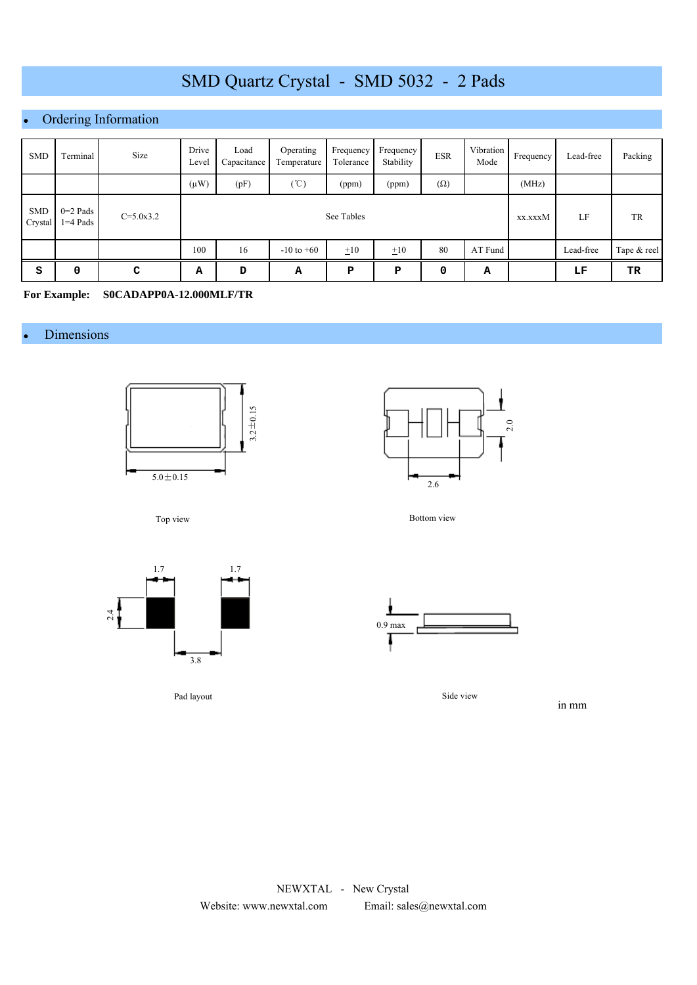## Ordering Information

| <b>SMD</b>            | Terminal                 | Size          | Drive<br>Level | Load<br>Capacitance | Operating<br>Temperature | Frequency<br>Tolerance | Frequency<br>Stability | <b>ESR</b> | Vibration<br>Mode | Frequency | Lead-free | Packing     |
|-----------------------|--------------------------|---------------|----------------|---------------------|--------------------------|------------------------|------------------------|------------|-------------------|-----------|-----------|-------------|
|                       |                          |               | $(\mu W)$      | (pF)                | $(\mathcal{C})$          | (ppm)                  | (ppm)                  | $(\Omega)$ |                   | (MHz)     |           |             |
| <b>SMD</b><br>Crystal | $0=2$ Pads<br>$1=4$ Pads | $C = 5.0x3.2$ |                |                     |                          | See Tables             |                        |            |                   | xx.xxxM   | LF        | TR          |
|                       |                          |               | 100            | 16                  | $-10$ to $+60$           | $\pm 10$               | $\pm 10$               | 80         | AT Fund           |           | Lead-free | Tape & reel |
| S                     | 0                        | C             | А              | D                   | А                        | P                      | P                      | 0          | А                 |           | LF        | TR          |

**For Example: S0CADAPP0A-12.000MLF/TR**

#### • Dimensions





Top view



Pad layout

Bottom view



Side view

in mm